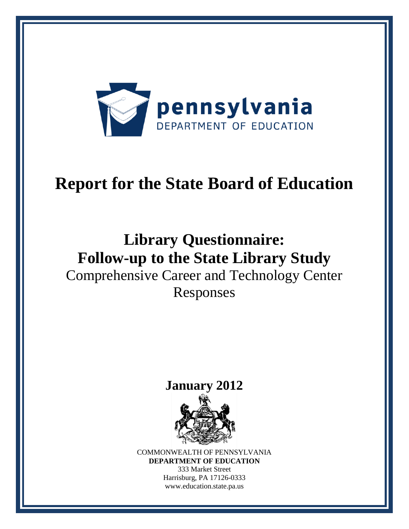

# **Report for the State Board of Education**

## **Library Questionnaire: Follow-up to the State Library Study** Comprehensive Career and Technology Center Responses

## **January 2012**



COMMONWEALTH OF PENNSYLVANIA **DEPARTMENT OF EDUCATION** 333 Market Street Harrisburg, PA 17126-0333 www.education.state.pa.us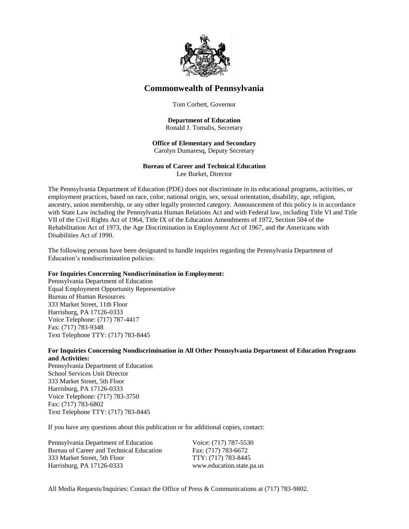

#### **Commonwealth of Pennsylvania**

Tom Corbett, Governor

#### **Department of Education** Ronald J. Tomalis, Secretary

#### **Office of Elementary and Secondary**  Carolyn Dumaresq, Deputy Secretary

#### **Bureau of Career and Technical Education** Lee Burket, Director

The Pennsylvania Department of Education (PDE) does not discriminate in its educational programs, activities, or employment practices, based on race, color, national origin, sex, sexual orientation, disability, age, religion, ancestry, union membership, or any other legally protected category. Announcement of this policy is in accordance with State Law including the Pennsylvania Human Relations Act and with Federal law, including Title VI and Title VII of the Civil Rights Act of 1964, Title IX of the Education Amendments of 1972, Section 504 of the Rehabilitation Act of 1973, the Age Discrimination in Employment Act of 1967, and the Americans with

The following persons have been designated to handle inquiries regarding the Pennsylvania Department of Education's nondiscrimination policies:

#### **For Inquiries Concerning Nondiscrimination in Employment:**

Pennsylvania Department of Education Equal Employment Opportunity Representative Bureau of Human Resources 333 Market Street, 11th Floor Harrisburg, PA 17126-0333 Voice Telephone: (717) 787-4417 Fax: (717) 783-9348 Text Telephone TTY: (717) 783-8445

Disabilities Act of 1990.

#### **For Inquiries Concerning Nondiscrimination in All Other Pennsylvania Department of Education Programs and Activities:**

Pennsylvania Department of Education School Services Unit Director 333 Market Street, 5th Floor Harrisburg, PA 17126-0333 Voice Telephone: (717) 783-3750 Fax: (717) 783-6802 Text Telephone TTY: (717) 783-8445

If you have any questions about this publication or for additional copies, contact:

Pennsylvania Department of Education Voice: (717) 787-5530 Bureau of Career and Technical Education Fax: (717) 783-6672 333 Market Street, 5th Floor TTY: (717) 783-8445 Harrisburg, PA 17126-0333 www.education.state.pa.us

All Media Requests/Inquiries: Contact the Office of Press & Communications at (717) 783-9802.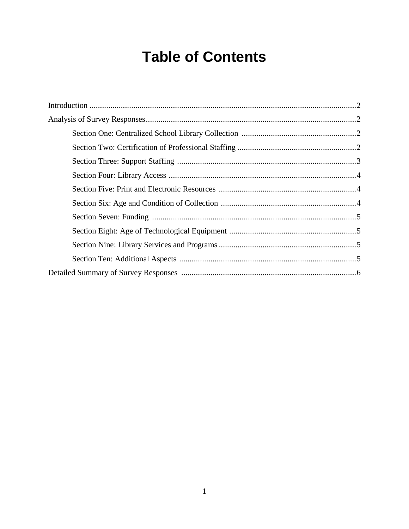## **Table of Contents**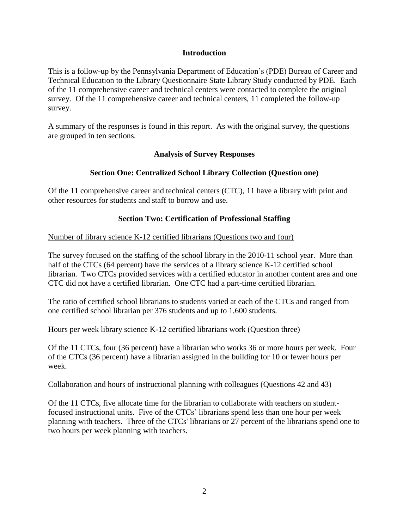#### **Introduction**

This is a follow-up by the Pennsylvania Department of Education's (PDE) Bureau of Career and Technical Education to the Library Questionnaire State Library Study conducted by PDE. Each of the 11 comprehensive career and technical centers were contacted to complete the original survey. Of the 11 comprehensive career and technical centers, 11 completed the follow-up survey.

A summary of the responses is found in this report. As with the original survey, the questions are grouped in ten sections.

#### **Analysis of Survey Responses**

#### **Section One: Centralized School Library Collection (Question one)**

Of the 11 comprehensive career and technical centers (CTC), 11 have a library with print and other resources for students and staff to borrow and use.

#### **Section Two: Certification of Professional Staffing**

#### Number of library science K-12 certified librarians (Questions two and four)

The survey focused on the staffing of the school library in the 2010-11 school year. More than half of the CTCs (64 percent) have the services of a library science K-12 certified school librarian. Two CTCs provided services with a certified educator in another content area and one CTC did not have a certified librarian. One CTC had a part-time certified librarian.

The ratio of certified school librarians to students varied at each of the CTCs and ranged from one certified school librarian per 376 students and up to 1,600 students.

#### Hours per week library science K-12 certified librarians work (Question three)

Of the 11 CTCs, four (36 percent) have a librarian who works 36 or more hours per week. Four of the CTCs (36 percent) have a librarian assigned in the building for 10 or fewer hours per week.

#### Collaboration and hours of instructional planning with colleagues (Questions 42 and 43)

Of the 11 CTCs, five allocate time for the librarian to collaborate with teachers on studentfocused instructional units. Five of the CTCs' librarians spend less than one hour per week planning with teachers. Three of the CTCs' librarians or 27 percent of the librarians spend one to two hours per week planning with teachers.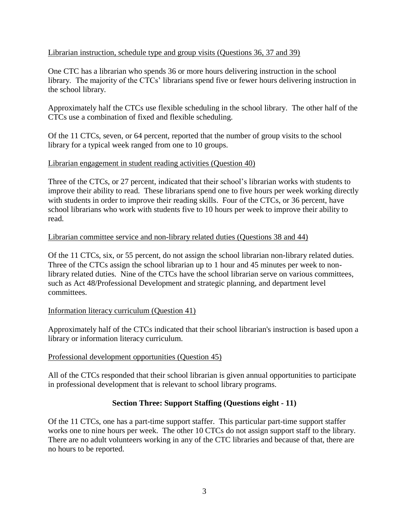#### Librarian instruction, schedule type and group visits (Questions 36, 37 and 39)

One CTC has a librarian who spends 36 or more hours delivering instruction in the school library. The majority of the CTCs' librarians spend five or fewer hours delivering instruction in the school library.

Approximately half the CTCs use flexible scheduling in the school library. The other half of the CTCs use a combination of fixed and flexible scheduling.

Of the 11 CTCs, seven, or 64 percent, reported that the number of group visits to the school library for a typical week ranged from one to 10 groups.

#### Librarian engagement in student reading activities (Question 40)

Three of the CTCs, or 27 percent, indicated that their school's librarian works with students to improve their ability to read. These librarians spend one to five hours per week working directly with students in order to improve their reading skills. Four of the CTCs, or 36 percent, have school librarians who work with students five to 10 hours per week to improve their ability to read.

#### Librarian committee service and non-library related duties (Questions 38 and 44)

Of the 11 CTCs, six, or 55 percent, do not assign the school librarian non-library related duties. Three of the CTCs assign the school librarian up to 1 hour and 45 minutes per week to nonlibrary related duties. Nine of the CTCs have the school librarian serve on various committees, such as Act 48/Professional Development and strategic planning, and department level committees.

#### Information literacy curriculum (Question 41)

Approximately half of the CTCs indicated that their school librarian's instruction is based upon a library or information literacy curriculum.

#### Professional development opportunities (Question 45)

All of the CTCs responded that their school librarian is given annual opportunities to participate in professional development that is relevant to school library programs.

#### **Section Three: Support Staffing (Questions eight - 11)**

Of the 11 CTCs, one has a part-time support staffer. This particular part-time support staffer works one to nine hours per week. The other 10 CTCs do not assign support staff to the library. There are no adult volunteers working in any of the CTC libraries and because of that, there are no hours to be reported.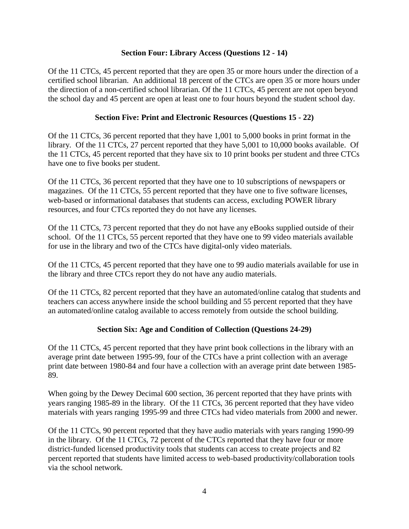#### **Section Four: Library Access (Questions 12 - 14)**

Of the 11 CTCs, 45 percent reported that they are open 35 or more hours under the direction of a certified school librarian. An additional 18 percent of the CTCs are open 35 or more hours under the direction of a non-certified school librarian. Of the 11 CTCs, 45 percent are not open beyond the school day and 45 percent are open at least one to four hours beyond the student school day.

#### **Section Five: Print and Electronic Resources (Questions 15 - 22)**

Of the 11 CTCs, 36 percent reported that they have 1,001 to 5,000 books in print format in the library. Of the 11 CTCs, 27 percent reported that they have 5,001 to 10,000 books available. Of the 11 CTCs, 45 percent reported that they have six to 10 print books per student and three CTCs have one to five books per student.

Of the 11 CTCs, 36 percent reported that they have one to 10 subscriptions of newspapers or magazines. Of the 11 CTCs, 55 percent reported that they have one to five software licenses, web-based or informational databases that students can access, excluding POWER library resources, and four CTCs reported they do not have any licenses.

Of the 11 CTCs, 73 percent reported that they do not have any eBooks supplied outside of their school. Of the 11 CTCs, 55 percent reported that they have one to 99 video materials available for use in the library and two of the CTCs have digital-only video materials.

Of the 11 CTCs, 45 percent reported that they have one to 99 audio materials available for use in the library and three CTCs report they do not have any audio materials.

Of the 11 CTCs, 82 percent reported that they have an automated/online catalog that students and teachers can access anywhere inside the school building and 55 percent reported that they have an automated/online catalog available to access remotely from outside the school building.

#### **Section Six: Age and Condition of Collection (Questions 24-29)**

Of the 11 CTCs, 45 percent reported that they have print book collections in the library with an average print date between 1995-99, four of the CTCs have a print collection with an average print date between 1980-84 and four have a collection with an average print date between 1985- 89.

When going by the Dewey Decimal 600 section, 36 percent reported that they have prints with years ranging 1985-89 in the library. Of the 11 CTCs, 36 percent reported that they have video materials with years ranging 1995-99 and three CTCs had video materials from 2000 and newer.

Of the 11 CTCs, 90 percent reported that they have audio materials with years ranging 1990-99 in the library. Of the 11 CTCs, 72 percent of the CTCs reported that they have four or more district-funded licensed productivity tools that students can access to create projects and 82 percent reported that students have limited access to web-based productivity/collaboration tools via the school network.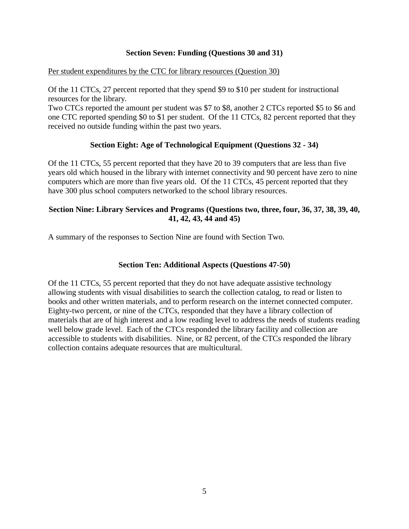#### **Section Seven: Funding (Questions 30 and 31)**

Per student expenditures by the CTC for library resources (Question 30)

Of the 11 CTCs, 27 percent reported that they spend \$9 to \$10 per student for instructional resources for the library.

Two CTCs reported the amount per student was \$7 to \$8, another 2 CTCs reported \$5 to \$6 and one CTC reported spending \$0 to \$1 per student. Of the 11 CTCs, 82 percent reported that they received no outside funding within the past two years.

#### **Section Eight: Age of Technological Equipment (Questions 32 - 34)**

Of the 11 CTCs, 55 percent reported that they have 20 to 39 computers that are less than five years old which housed in the library with internet connectivity and 90 percent have zero to nine computers which are more than five years old. Of the 11 CTCs, 45 percent reported that they have 300 plus school computers networked to the school library resources.

#### **Section Nine: Library Services and Programs (Questions two, three, four, 36, 37, 38, 39, 40, 41, 42, 43, 44 and 45)**

A summary of the responses to Section Nine are found with Section Two.

#### **Section Ten: Additional Aspects (Questions 47-50)**

Of the 11 CTCs, 55 percent reported that they do not have adequate assistive technology allowing students with visual disabilities to search the collection catalog, to read or listen to books and other written materials, and to perform research on the internet connected computer. Eighty-two percent, or nine of the CTCs, responded that they have a library collection of materials that are of high interest and a low reading level to address the needs of students reading well below grade level. Each of the CTCs responded the library facility and collection are accessible to students with disabilities. Nine, or 82 percent, of the CTCs responded the library collection contains adequate resources that are multicultural.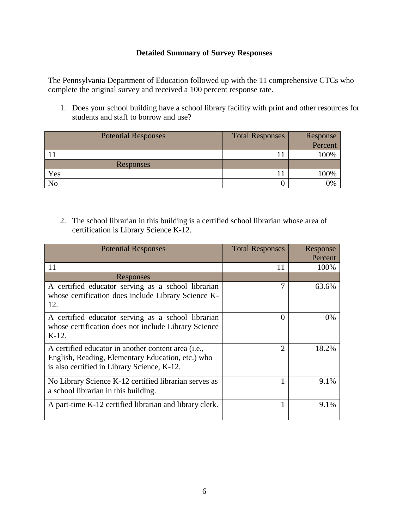#### **Detailed Summary of Survey Responses**

The Pennsylvania Department of Education followed up with the 11 comprehensive CTCs who complete the original survey and received a 100 percent response rate.

1. Does your school building have a school library facility with print and other resources for students and staff to borrow and use?

| <b>Potential Responses</b> | <b>Total Responses</b> | Response |
|----------------------------|------------------------|----------|
|                            |                        | Percent  |
|                            |                        | 100%     |
| Responses                  |                        |          |
| Yes                        |                        | 100%     |
| No                         |                        | 0%       |

2. The school librarian in this building is a certified school librarian whose area of certification is Library Science K-12.

| <b>Potential Responses</b>                                                                                                                              | <b>Total Responses</b> | Response<br>Percent |
|---------------------------------------------------------------------------------------------------------------------------------------------------------|------------------------|---------------------|
| 11                                                                                                                                                      | 11                     | 100%                |
| Responses                                                                                                                                               |                        |                     |
| A certified educator serving as a school librarian<br>whose certification does include Library Science K-<br>12.                                        | 7                      | 63.6%               |
| A certified educator serving as a school librarian<br>whose certification does not include Library Science<br>$K-12$ .                                  | 0                      | $0\%$               |
| A certified educator in another content area (i.e.,<br>English, Reading, Elementary Education, etc.) who<br>is also certified in Library Science, K-12. | っ                      | 18.2%               |
| No Library Science K-12 certified librarian serves as<br>a school librarian in this building.                                                           |                        | 9.1%                |
| A part-time K-12 certified librarian and library clerk.                                                                                                 |                        | 9.1%                |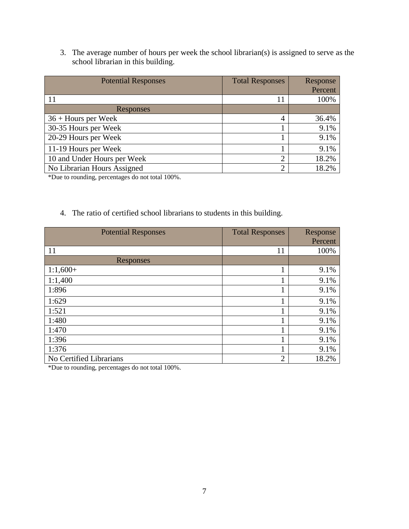3. The average number of hours per week the school librarian(s) is assigned to serve as the school librarian in this building.

| <b>Potential Responses</b>  | <b>Total Responses</b> | Response |
|-----------------------------|------------------------|----------|
|                             |                        | Percent  |
| 11                          | 11                     | 100%     |
| Responses                   |                        |          |
| $36 +$ Hours per Week       | $\overline{4}$         | 36.4%    |
| 30-35 Hours per Week        |                        | 9.1%     |
| 20-29 Hours per Week        |                        | 9.1%     |
| 11-19 Hours per Week        |                        | 9.1%     |
| 10 and Under Hours per Week | $\overline{2}$         | 18.2%    |
| No Librarian Hours Assigned | $\overline{2}$         | 18.2%    |

\*Due to rounding, percentages do not total 100%.

#### 4. The ratio of certified school librarians to students in this building.

| <b>Potential Responses</b> | <b>Total Responses</b> | Response |
|----------------------------|------------------------|----------|
|                            |                        | Percent  |
| 11                         | 11                     | 100%     |
| Responses                  |                        |          |
| $1:1,600+$                 | 1                      | 9.1%     |
| 1:1,400                    | 1                      | 9.1%     |
| 1:896                      | 1                      | 9.1%     |
| 1:629                      | 1                      | 9.1%     |
| 1:521                      | 1                      | 9.1%     |
| 1:480                      | 1                      | 9.1%     |
| 1:470                      | 1                      | 9.1%     |
| 1:396                      | 1                      | 9.1%     |
| 1:376                      | 1                      | 9.1%     |
| No Certified Librarians    | $\overline{2}$         | 18.2%    |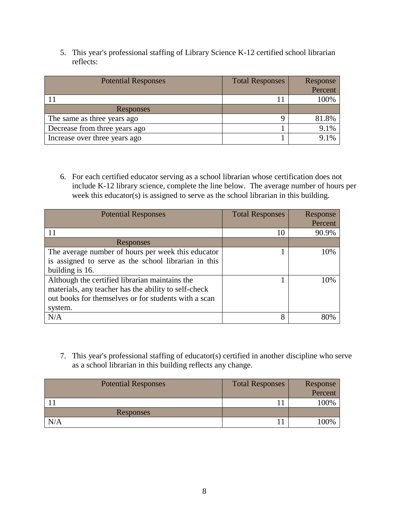5. This year's professional staffing of Library Science K-12 certified school librarian reflects:

| <b>Potential Responses</b>    | <b>Total Responses</b> | Response |
|-------------------------------|------------------------|----------|
|                               |                        | Percent  |
|                               |                        | 100%     |
| Responses                     |                        |          |
| The same as three years ago   |                        | 81.8%    |
| Decrease from three years ago |                        | 9.1%     |
| Increase over three years ago |                        | $9.1\%$  |

6. For each certified educator serving as a school librarian whose certification does not include K-12 library science, complete the line below. The average number of hours per week this educator(s) is assigned to serve as the school librarian in this building.

| <b>Potential Responses</b>                           | <b>Total Responses</b> | Response |
|------------------------------------------------------|------------------------|----------|
|                                                      |                        | Percent  |
|                                                      | 10                     | 90.9%    |
| Responses                                            |                        |          |
| The average number of hours per week this educator   |                        | 10%      |
| is assigned to serve as the school librarian in this |                        |          |
| building is 16.                                      |                        |          |
| Although the certified librarian maintains the       |                        | 10%      |
| materials, any teacher has the ability to self-check |                        |          |
| out books for themselves or for students with a scan |                        |          |
| system.                                              |                        |          |
| N/A                                                  | 8                      |          |

7. This year's professional staffing of educator(s) certified in another discipline who serve as a school librarian in this building reflects any change.

| <b>Potential Responses</b> | <b>Total Responses</b> | Response |
|----------------------------|------------------------|----------|
|                            |                        | Percent  |
|                            |                        | 100%     |
| Responses                  |                        |          |
| N/A                        |                        | '00%     |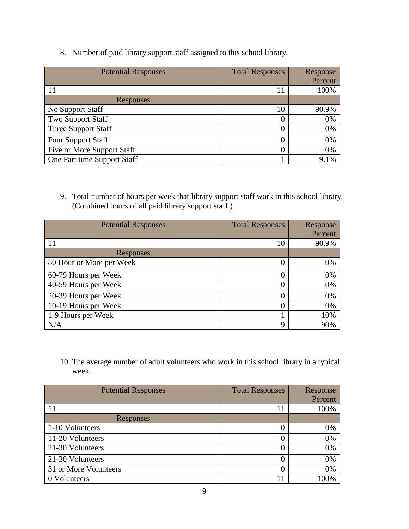8. Number of paid library support staff assigned to this school library.

| <b>Potential Responses</b>  | <b>Total Responses</b> | Response |
|-----------------------------|------------------------|----------|
|                             |                        | Percent  |
|                             | 11                     | 100%     |
| Responses                   |                        |          |
| No Support Staff            | 10                     | 90.9%    |
| <b>Two Support Staff</b>    |                        | 0%       |
| Three Support Staff         |                        | 0%       |
| <b>Four Support Staff</b>   |                        | 0%       |
| Five or More Support Staff  |                        | 0%       |
| One Part time Support Staff |                        | 9.1%     |

9. Total number of hours per week that library support staff work in this school library. (Combined hours of all paid library support staff.)

| <b>Potential Responses</b> | <b>Total Responses</b> | Response |
|----------------------------|------------------------|----------|
|                            |                        | Percent  |
| 11                         | 10                     | 90.9%    |
| Responses                  |                        |          |
| 80 Hour or More per Week   | 0                      | 0%       |
| 60-79 Hours per Week       | 0                      | 0%       |
| 40-59 Hours per Week       | 0                      | 0%       |
| 20-39 Hours per Week       | 0                      | 0%       |
| 10-19 Hours per Week       |                        | 0%       |
| 1-9 Hours per Week         |                        | 10%      |
| N/A                        | 9                      | 90%      |

10. The average number of adult volunteers who work in this school library in a typical week.

| <b>Potential Responses</b> | <b>Total Responses</b> | Response |
|----------------------------|------------------------|----------|
|                            |                        | Percent  |
| 11                         | 11                     | 100%     |
| Responses                  |                        |          |
| 1-10 Volunteers            |                        | 0%       |
| 11-20 Volunteers           |                        | 0%       |
| 21-30 Volunteers           | 0                      | 0%       |
| 21-30 Volunteers           |                        | 0%       |
| 31 or More Volunteers      | 0                      | 0%       |
| 0 Volunteers               | 11                     | 100%     |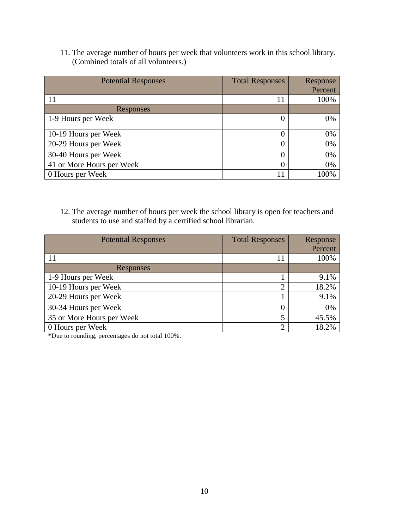11. The average number of hours per week that volunteers work in this school library. (Combined totals of all volunteers.)

| <b>Potential Responses</b> | <b>Total Responses</b> | Response |
|----------------------------|------------------------|----------|
|                            |                        | Percent  |
| 11                         | 11                     | 100%     |
| Responses                  |                        |          |
| 1-9 Hours per Week         | 0                      | 0%       |
|                            |                        |          |
| 10-19 Hours per Week       | $\theta$               | 0%       |
| 20-29 Hours per Week       | $\overline{0}$         | 0%       |
| 30-40 Hours per Week       | $\overline{0}$         | 0%       |
| 41 or More Hours per Week  | $\theta$               | 0%       |
| 0 Hours per Week           | 11                     | 00%      |

12. The average number of hours per week the school library is open for teachers and students to use and staffed by a certified school librarian.

| <b>Potential Responses</b> | <b>Total Responses</b> | Response |
|----------------------------|------------------------|----------|
|                            |                        | Percent  |
| 11                         | 11                     | 100%     |
| Responses                  |                        |          |
| 1-9 Hours per Week         |                        | 9.1%     |
| 10-19 Hours per Week       | $\overline{2}$         | 18.2%    |
| 20-29 Hours per Week       |                        | 9.1%     |
| 30-34 Hours per Week       |                        | 0%       |
| 35 or More Hours per Week  | 5                      | 45.5%    |
| 0 Hours per Week           | $\overline{2}$         | 18.2%    |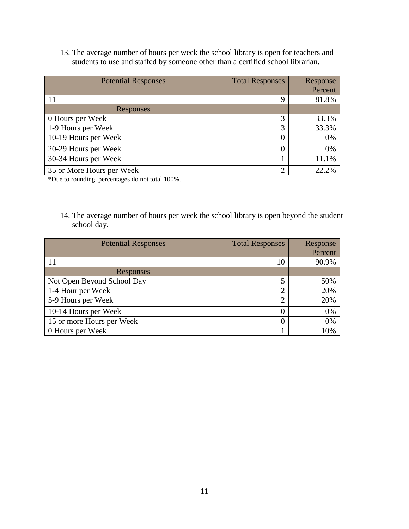13. The average number of hours per week the school library is open for teachers and students to use and staffed by someone other than a certified school librarian.

| <b>Potential Responses</b> | <b>Total Responses</b> | Response<br>Percent |
|----------------------------|------------------------|---------------------|
| 11                         | 9                      | 81.8%               |
| Responses                  |                        |                     |
| 0 Hours per Week           | 3                      | 33.3%               |
| 1-9 Hours per Week         | 3                      | 33.3%               |
| 10-19 Hours per Week       | $\theta$               | 0%                  |
| 20-29 Hours per Week       | $\theta$               | 0%                  |
| 30-34 Hours per Week       |                        | 11.1%               |
| 35 or More Hours per Week  | $\overline{2}$         | 22.2%               |

\*Due to rounding, percentages do not total 100%.

14. The average number of hours per week the school library is open beyond the student school day.

| <b>Potential Responses</b> | <b>Total Responses</b> | Response |
|----------------------------|------------------------|----------|
|                            |                        | Percent  |
| 11                         | 10                     | 90.9%    |
| Responses                  |                        |          |
| Not Open Beyond School Day | 5                      | 50%      |
| 1-4 Hour per Week          | $\overline{2}$         | 20%      |
| 5-9 Hours per Week         | $\overline{c}$         | 20%      |
| 10-14 Hours per Week       |                        | 0%       |
| 15 or more Hours per Week  |                        | 0%       |
| 0 Hours per Week           |                        | 10%      |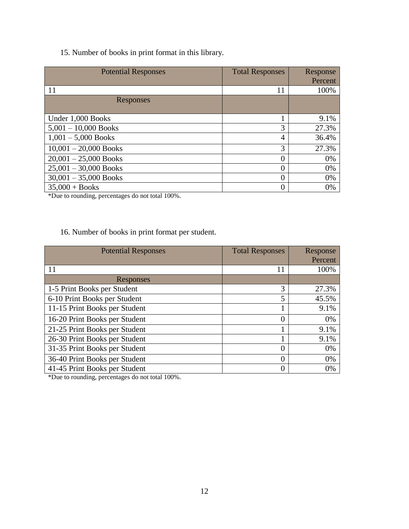### 15. Number of books in print format in this library.

| <b>Potential Responses</b> | <b>Total Responses</b> | Response |
|----------------------------|------------------------|----------|
|                            |                        | Percent  |
| 11                         | 11                     | 100%     |
| Responses                  |                        |          |
|                            |                        |          |
| Under 1,000 Books          |                        | 9.1%     |
| $5,001 - 10,000$ Books     | 3                      | 27.3%    |
| $1,001 - 5,000$ Books      | 4                      | 36.4%    |
| $10,001 - 20,000$ Books    | 3                      | 27.3%    |
| $20,001 - 25,000$ Books    | 0                      | 0%       |
| $25,001 - 30,000$ Books    | 0                      | 0%       |
| $30,001 - 35,000$ Books    | $\overline{0}$         | 0%       |
| $35,000 + Books$           | 0                      | 0%       |

\*Due to rounding, percentages do not total 100%.

### 16. Number of books in print format per student.

| <b>Potential Responses</b>    | <b>Total Responses</b> | Response |
|-------------------------------|------------------------|----------|
|                               |                        | Percent  |
| 11                            | 11                     | 100%     |
| Responses                     |                        |          |
| 1-5 Print Books per Student   | 3                      | 27.3%    |
| 6-10 Print Books per Student  | 5                      | 45.5%    |
| 11-15 Print Books per Student |                        | 9.1%     |
| 16-20 Print Books per Student | $\overline{0}$         | 0%       |
| 21-25 Print Books per Student |                        | 9.1%     |
| 26-30 Print Books per Student |                        | 9.1%     |
| 31-35 Print Books per Student | $\Omega$               | 0%       |
| 36-40 Print Books per Student | $\Omega$               | 0%       |
| 41-45 Print Books per Student | $\Omega$               | 0%       |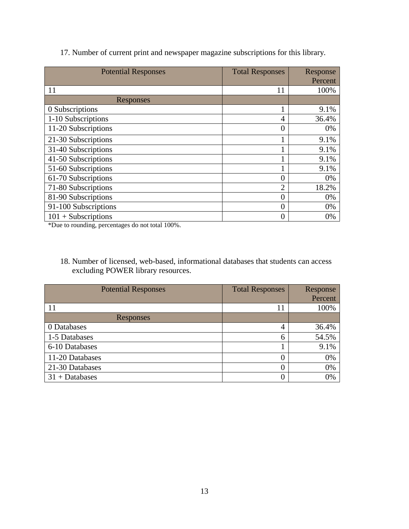| <b>Potential Responses</b> | <b>Total Responses</b> | Response |
|----------------------------|------------------------|----------|
|                            |                        | Percent  |
| 11                         | 11                     | 100%     |
| Responses                  |                        |          |
| 0 Subscriptions            | 1                      | 9.1%     |
| 1-10 Subscriptions         | $\overline{4}$         | 36.4%    |
| 11-20 Subscriptions        | $\overline{0}$         | 0%       |
| 21-30 Subscriptions        | 1                      | 9.1%     |
| 31-40 Subscriptions        |                        | 9.1%     |
| 41-50 Subscriptions        | 1                      | 9.1%     |
| 51-60 Subscriptions        | 1                      | 9.1%     |
| 61-70 Subscriptions        | 0                      | 0%       |
| 71-80 Subscriptions        | $\overline{2}$         | 18.2%    |
| 81-90 Subscriptions        | $\overline{0}$         | 0%       |
| 91-100 Subscriptions       | 0                      | 0%       |
| $101 + Subscripts$         | $\overline{0}$         | 0%       |

### 17. Number of current print and newspaper magazine subscriptions for this library.

\*Due to rounding, percentages do not total 100%.

18. Number of licensed, web-based, informational databases that students can access excluding POWER library resources.

| <b>Potential Responses</b> | <b>Total Responses</b> | <b>Response</b> |
|----------------------------|------------------------|-----------------|
|                            |                        | Percent         |
| 11                         | 11                     | 100%            |
| Responses                  |                        |                 |
| 0 Databases                | $\overline{4}$         | 36.4%           |
| 1-5 Databases              | 6                      | 54.5%           |
| 6-10 Databases             |                        | 9.1%            |
| 11-20 Databases            | 0                      | 0%              |
| 21-30 Databases            | $\left( \right)$       | 0%              |
| $31 + Databases$           |                        | 0%              |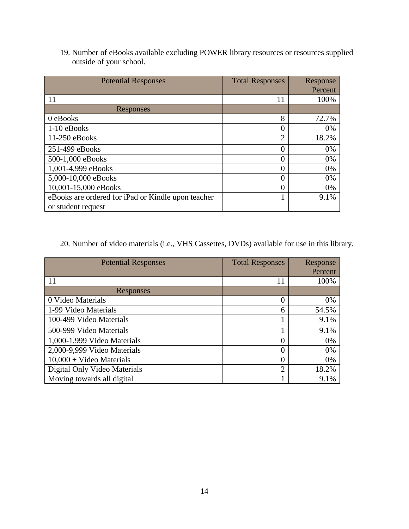19. Number of eBooks available excluding POWER library resources or resources supplied outside of your school.

| <b>Potential Responses</b>                         | <b>Total Responses</b> | Response |
|----------------------------------------------------|------------------------|----------|
|                                                    |                        | Percent  |
| 11                                                 | 11                     | 100%     |
| Responses                                          |                        |          |
| 0 eBooks                                           | 8                      | 72.7%    |
| 1-10 eBooks                                        | 0                      | 0%       |
| $11-250$ eBooks                                    | $\overline{2}$         | 18.2%    |
| 251-499 eBooks                                     | $\Omega$               | $0\%$    |
| 500-1,000 eBooks                                   | 0                      | 0%       |
| 1,001-4,999 eBooks                                 | 0                      | 0%       |
| 5,000-10,000 eBooks                                | 0                      | $0\%$    |
| 10,001-15,000 eBooks                               | 0                      | $0\%$    |
| eBooks are ordered for iPad or Kindle upon teacher |                        | 9.1%     |
| or student request                                 |                        |          |

## 20. Number of video materials (i.e., VHS Cassettes, DVDs) available for use in this library.

| <b>Potential Responses</b>   | <b>Total Responses</b> | Response |
|------------------------------|------------------------|----------|
|                              |                        | Percent  |
| 11                           | 11                     | 100%     |
| Responses                    |                        |          |
| 0 Video Materials            | 0                      | 0%       |
| 1-99 Video Materials         | 6                      | 54.5%    |
| 100-499 Video Materials      |                        | 9.1%     |
| 500-999 Video Materials      | 1                      | 9.1%     |
| 1,000-1,999 Video Materials  | 0                      | 0%       |
| 2,000-9,999 Video Materials  | 0                      | 0%       |
| $10,000 +$ Video Materials   | $\overline{0}$         | 0%       |
| Digital Only Video Materials | $\overline{2}$         | 18.2%    |
| Moving towards all digital   | 1                      | 9.1%     |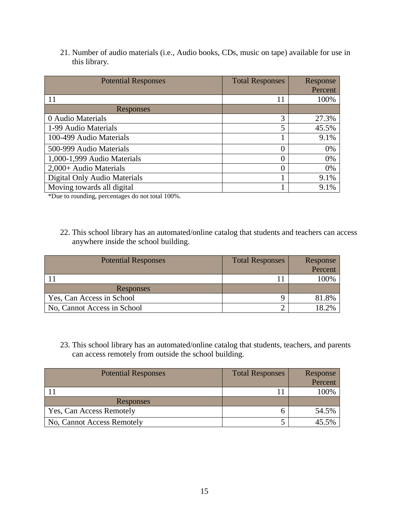21. Number of audio materials (i.e., Audio books, CDs, music on tape) available for use in this library.

| <b>Potential Responses</b>   | <b>Total Responses</b> | Response |
|------------------------------|------------------------|----------|
|                              |                        | Percent  |
| 11                           | 11                     | 100%     |
| Responses                    |                        |          |
| 0 Audio Materials            | 3                      | 27.3%    |
| 1-99 Audio Materials         | 5                      | 45.5%    |
| 100-499 Audio Materials      |                        | 9.1%     |
| 500-999 Audio Materials      | 0                      | 0%       |
| 1,000-1,999 Audio Materials  | 0                      | 0%       |
| 2,000+ Audio Materials       | $\theta$               | 0%       |
| Digital Only Audio Materials |                        | 9.1%     |
| Moving towards all digital   |                        | 9.1%     |

\*Due to rounding, percentages do not total 100%.

22. This school library has an automated/online catalog that students and teachers can access anywhere inside the school building.

| <b>Potential Responses</b>  | <b>Total Responses</b> | Response |
|-----------------------------|------------------------|----------|
|                             |                        | Percent  |
|                             |                        | 100%     |
| Responses                   |                        |          |
| Yes, Can Access in School   |                        | 81.8%    |
| No, Cannot Access in School | ◠                      | 18.2%    |

23. This school library has an automated/online catalog that students, teachers, and parents can access remotely from outside the school building.

| <b>Potential Responses</b> | <b>Total Responses</b> | Response |
|----------------------------|------------------------|----------|
|                            |                        | Percent  |
|                            |                        | 100%     |
| Responses                  |                        |          |
| Yes, Can Access Remotely   |                        | 54.5%    |
| No, Cannot Access Remotely |                        | 45.5%    |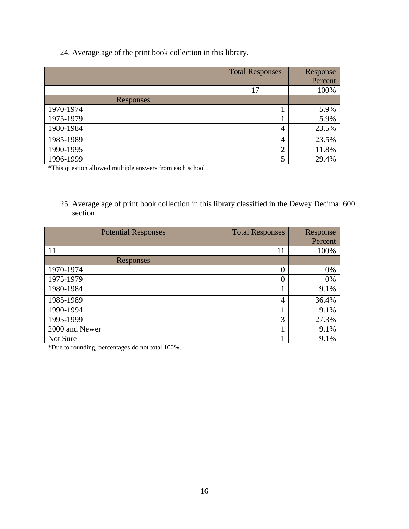24. Average age of the print book collection in this library.

|           | <b>Total Responses</b> | Response |
|-----------|------------------------|----------|
|           |                        | Percent  |
|           | 17                     | 100%     |
| Responses |                        |          |
| 1970-1974 |                        | 5.9%     |
| 1975-1979 |                        | 5.9%     |
| 1980-1984 | 4                      | 23.5%    |
| 1985-1989 | $\overline{4}$         | 23.5%    |
| 1990-1995 | $\overline{2}$         | 11.8%    |
| 1996-1999 | 5                      | 29.4%    |

\*This question allowed multiple answers from each school.

25. Average age of print book collection in this library classified in the Dewey Decimal 600 section.

| <b>Potential Responses</b> | <b>Total Responses</b> | Response |
|----------------------------|------------------------|----------|
|                            |                        | Percent  |
| 11                         | 11                     | 100%     |
| Responses                  |                        |          |
| 1970-1974                  | $\theta$               | 0%       |
| 1975-1979                  | $\overline{0}$         | 0%       |
| 1980-1984                  |                        | 9.1%     |
| 1985-1989                  | $\overline{4}$         | 36.4%    |
| 1990-1994                  |                        | 9.1%     |
| 1995-1999                  | 3                      | 27.3%    |
| 2000 and Newer             |                        | 9.1%     |
| Not Sure                   |                        | 9.1%     |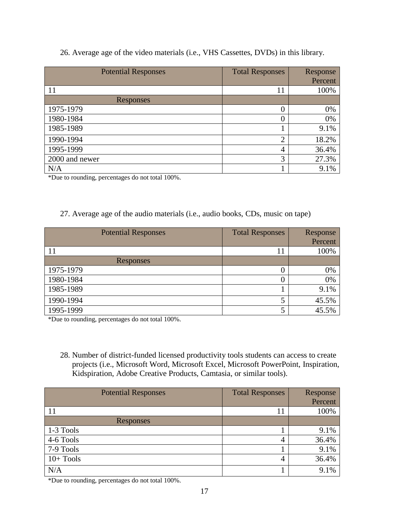#### 26. Average age of the video materials (i.e., VHS Cassettes, DVDs) in this library.

| <b>Potential Responses</b> | <b>Total Responses</b> | Response |
|----------------------------|------------------------|----------|
|                            |                        | Percent  |
| 11                         | 11                     | 100%     |
| Responses                  |                        |          |
| 1975-1979                  | 0                      | 0%       |
| 1980-1984                  | 0                      | 0%       |
| 1985-1989                  |                        | 9.1%     |
| 1990-1994                  | $\overline{2}$         | 18.2%    |
| 1995-1999                  | 4                      | 36.4%    |
| 2000 and newer             | 3                      | 27.3%    |
| N/A                        |                        | 9.1%     |

\*Due to rounding, percentages do not total 100%.

#### 27. Average age of the audio materials (i.e., audio books, CDs, music on tape)

| <b>Potential Responses</b> | <b>Total Responses</b> | Response |
|----------------------------|------------------------|----------|
|                            |                        | Percent  |
|                            | 11                     | 100%     |
| Responses                  |                        |          |
| 1975-1979                  |                        | 0%       |
| 1980-1984                  |                        | 0%       |
| 1985-1989                  |                        | 9.1%     |
| 1990-1994                  |                        | 45.5%    |
| 1995-1999                  |                        | 45.5%    |

\*Due to rounding, percentages do not total 100%.

28. Number of district-funded licensed productivity tools students can access to create projects (i.e., Microsoft Word, Microsoft Excel, Microsoft PowerPoint, Inspiration, Kidspiration, Adobe Creative Products, Camtasia, or similar tools).

| <b>Potential Responses</b> | <b>Total Responses</b> | Response |
|----------------------------|------------------------|----------|
|                            |                        | Percent  |
| 11                         | 11                     | 100%     |
| Responses                  |                        |          |
| 1-3 Tools                  |                        | 9.1%     |
| 4-6 Tools                  | $\overline{4}$         | 36.4%    |
| 7-9 Tools                  |                        | 9.1%     |
| $10+$ Tools                | 4                      | 36.4%    |
| N/A                        |                        | 9.1%     |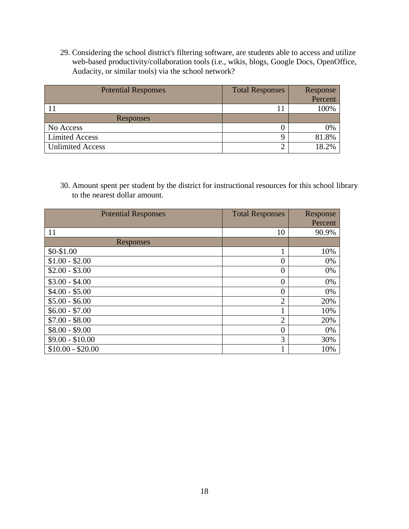29. Considering the school district's filtering software, are students able to access and utilize web-based productivity/collaboration tools (i.e., wikis, blogs, Google Docs, OpenOffice, Audacity, or similar tools) via the school network?

| <b>Potential Responses</b> | <b>Total Responses</b> | Response |
|----------------------------|------------------------|----------|
|                            |                        | Percent  |
|                            |                        | 100%     |
| Responses                  |                        |          |
| No Access                  |                        | 0%       |
| <b>Limited Access</b>      |                        | 81.8%    |
| <b>Unlimited Access</b>    |                        | 18 2%    |

30. Amount spent per student by the district for instructional resources for this school library to the nearest dollar amount.

| <b>Potential Responses</b> | <b>Total Responses</b> | Response |
|----------------------------|------------------------|----------|
|                            |                        | Percent  |
| 11                         | 10                     | 90.9%    |
| Responses                  |                        |          |
| $$0-$1.00$                 | 1                      | 10%      |
| $$1.00 - $2.00$            | 0                      | 0%       |
| $$2.00 - $3.00$            | 0                      | 0%       |
| $$3.00 - $4.00$            | $\overline{0}$         | 0%       |
| $$4.00 - $5.00$            | $\overline{0}$         | 0%       |
| $$5.00 - $6.00$            | $\overline{2}$         | 20%      |
| $$6.00 - $7.00$            | 1                      | 10%      |
| $$7.00 - $8.00$            | $\overline{2}$         | 20%      |
| $$8.00 - $9.00$            | $\overline{0}$         | 0%       |
| $$9.00 - $10.00$           | 3                      | 30%      |
| $$10.00 - $20.00$          | 1                      | 10%      |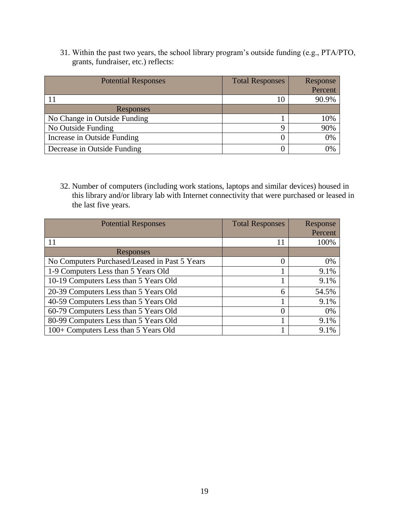31. Within the past two years, the school library program's outside funding (e.g., PTA/PTO, grants, fundraiser, etc.) reflects:

| <b>Potential Responses</b>   | <b>Total Responses</b> | Response |
|------------------------------|------------------------|----------|
|                              |                        | Percent  |
|                              | 10                     | 90.9%    |
| Responses                    |                        |          |
| No Change in Outside Funding |                        | 10%      |
| No Outside Funding           | a                      | 90%      |
| Increase in Outside Funding  |                        | 0%       |
| Decrease in Outside Funding  |                        | 0%       |

32. Number of computers (including work stations, laptops and similar devices) housed in this library and/or library lab with Internet connectivity that were purchased or leased in the last five years.

| <b>Potential Responses</b>                    | <b>Total Responses</b> | Response |
|-----------------------------------------------|------------------------|----------|
|                                               |                        | Percent  |
| 11                                            | 11                     | 100%     |
| Responses                                     |                        |          |
| No Computers Purchased/Leased in Past 5 Years | 0                      | 0%       |
| 1-9 Computers Less than 5 Years Old           | 1                      | 9.1%     |
| 10-19 Computers Less than 5 Years Old         | 1                      | 9.1%     |
| 20-39 Computers Less than 5 Years Old         | 6                      | 54.5%    |
| 40-59 Computers Less than 5 Years Old         | 1                      | 9.1%     |
| 60-79 Computers Less than 5 Years Old         | 0                      | 0%       |
| 80-99 Computers Less than 5 Years Old         |                        | 9.1%     |
| 100+ Computers Less than 5 Years Old          |                        | 9.1%     |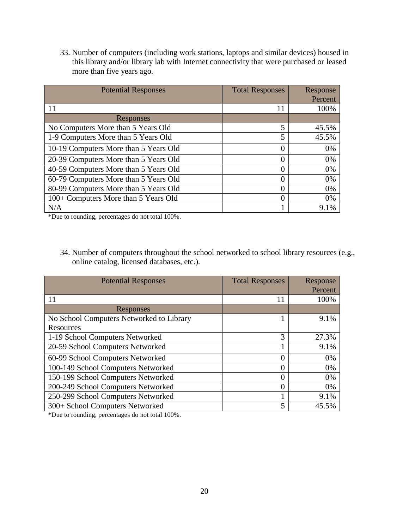33. Number of computers (including work stations, laptops and similar devices) housed in this library and/or library lab with Internet connectivity that were purchased or leased more than five years ago.

| <b>Potential Responses</b>            | <b>Total Responses</b> | Response |
|---------------------------------------|------------------------|----------|
|                                       |                        | Percent  |
| 11                                    | 11                     | 100%     |
| Responses                             |                        |          |
| No Computers More than 5 Years Old    | 5                      | 45.5%    |
| 1-9 Computers More than 5 Years Old   | 5                      | 45.5%    |
| 10-19 Computers More than 5 Years Old | $\theta$               | $0\%$    |
| 20-39 Computers More than 5 Years Old | $\Omega$               | 0%       |
| 40-59 Computers More than 5 Years Old | $\theta$               | 0%       |
| 60-79 Computers More than 5 Years Old | 0                      | 0%       |
| 80-99 Computers More than 5 Years Old | $\theta$               | 0%       |
| 100+ Computers More than 5 Years Old  | $\theta$               | 0%       |
| N/A                                   |                        | 9.1%     |

\*Due to rounding, percentages do not total 100%.

34. Number of computers throughout the school networked to school library resources (e.g., online catalog, licensed databases, etc.).

| <b>Potential Responses</b>               | <b>Total Responses</b> | Response<br>Percent |
|------------------------------------------|------------------------|---------------------|
| 11                                       | 11                     | 100%                |
| Responses                                |                        |                     |
| No School Computers Networked to Library |                        | 9.1%                |
| Resources                                |                        |                     |
| 1-19 School Computers Networked          | 3                      | 27.3%               |
| 20-59 School Computers Networked         |                        | 9.1%                |
| 60-99 School Computers Networked         | 0                      | 0%                  |
| 100-149 School Computers Networked       | 0                      | 0%                  |
| 150-199 School Computers Networked       | 0                      | 0%                  |
| 200-249 School Computers Networked       | 0                      | 0%                  |
| 250-299 School Computers Networked       |                        | 9.1%                |
| 300+ School Computers Networked          | 5                      | 45.5%               |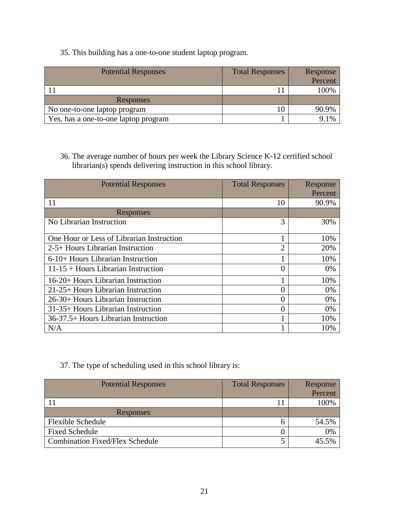#### 35. This building has a one-to-one student laptop program.

| <b>Potential Responses</b>           | <b>Total Responses</b> | Response<br>Percent |
|--------------------------------------|------------------------|---------------------|
|                                      |                        | 100%                |
| <b>Responses</b>                     |                        |                     |
| No one-to-one laptop program         | 10                     | 90.9%               |
| Yes, has a one-to-one laptop program |                        | 1%                  |

36. The average number of hours per week the Library Science K-12 certified school librarian(s) spends delivering instruction in this school library.

| <b>Potential Responses</b>                | <b>Total Responses</b> | Response |
|-------------------------------------------|------------------------|----------|
|                                           |                        | Percent  |
| 11                                        | 10                     | 90.9%    |
| Responses                                 |                        |          |
| No Librarian Instruction                  | 3                      | 30%      |
| One Hour or Less of Librarian Instruction |                        | 10%      |
| $2-5+$ Hours Librarian Instruction        | 2                      | 20%      |
| 6-10+ Hours Librarian Instruction         |                        | 10%      |
| $11-15$ + Hours Librarian Instruction     | $\left($               | $0\%$    |
| 16-20+ Hours Librarian Instruction        |                        | 10%      |
| 21-25+ Hours Librarian Instruction        | $\left( \right)$       | $0\%$    |
| 26-30+ Hours Librarian Instruction        | 0                      | $0\%$    |
| 31-35+ Hours Librarian Instruction        | 0                      | $0\%$    |
| 36-37.5+ Hours Librarian Instruction      |                        | 10%      |
| N/A                                       |                        | 10%      |

## 37. The type of scheduling used in this school library is:

| <b>Potential Responses</b>             | <b>Total Responses</b> | Response<br>Percent |
|----------------------------------------|------------------------|---------------------|
|                                        |                        | 100%                |
| Responses                              |                        |                     |
| <b>Flexible Schedule</b>               |                        | 54.5%               |
| <b>Fixed Schedule</b>                  |                        | 0%                  |
| <b>Combination Fixed/Flex Schedule</b> |                        | 45.5%               |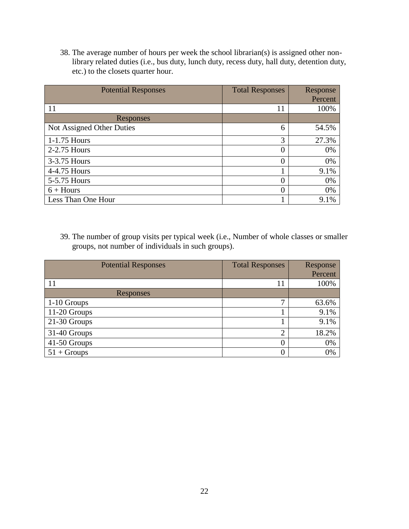38. The average number of hours per week the school librarian(s) is assigned other nonlibrary related duties (i.e., bus duty, lunch duty, recess duty, hall duty, detention duty, etc.) to the closets quarter hour.

| <b>Potential Responses</b> | <b>Total Responses</b> | Response |
|----------------------------|------------------------|----------|
|                            |                        | Percent  |
| 11                         | 11                     | 100%     |
| Responses                  |                        |          |
| Not Assigned Other Duties  | 6                      | 54.5%    |
| 1-1.75 Hours               | 3                      | 27.3%    |
| 2-2.75 Hours               | $\theta$               | 0%       |
| 3-3.75 Hours               | $\theta$               | $0\%$    |
| 4-4.75 Hours               |                        | 9.1%     |
| 5-5.75 Hours               | 0                      | 0%       |
| $6 +$ Hours                | $\overline{0}$         | 0%       |
| Less Than One Hour         |                        | 9.1%     |

39. The number of group visits per typical week (i.e., Number of whole classes or smaller groups, not number of individuals in such groups).

| <b>Potential Responses</b> | <b>Total Responses</b> | Response |
|----------------------------|------------------------|----------|
|                            |                        | Percent  |
| 11                         | 11                     | 100%     |
| Responses                  |                        |          |
| 1-10 Groups                | ⇁                      | 63.6%    |
| 11-20 Groups               |                        | 9.1%     |
| 21-30 Groups               |                        | 9.1%     |
| 31-40 Groups               | $\overline{2}$         | 18.2%    |
| 41-50 Groups               | 0                      | 0%       |
| $51 + Groups$              |                        | 0%       |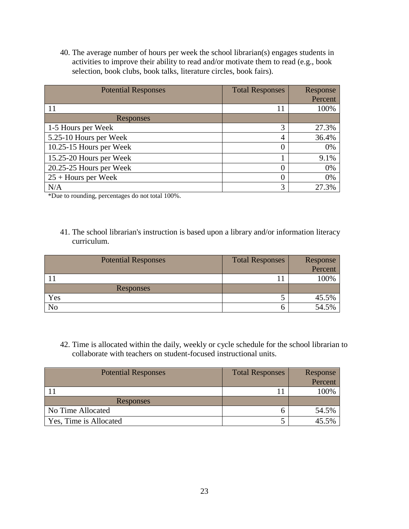40. The average number of hours per week the school librarian(s) engages students in activities to improve their ability to read and/or motivate them to read (e.g., book selection, book clubs, book talks, literature circles, book fairs).

| <b>Potential Responses</b> | <b>Total Responses</b> | Response |
|----------------------------|------------------------|----------|
|                            |                        | Percent  |
| 11                         | 11                     | 100%     |
| Responses                  |                        |          |
| 1-5 Hours per Week         | 3                      | 27.3%    |
| 5.25-10 Hours per Week     | 4                      | 36.4%    |
| 10.25-15 Hours per Week    | $\theta$               | 0%       |
| 15.25-20 Hours per Week    |                        | 9.1%     |
| 20.25-25 Hours per Week    | $\theta$               | 0%       |
| $25 +$ Hours per Week      | 0                      | 0%       |
| N/A                        | 3                      | 27.3%    |

\*Due to rounding, percentages do not total 100%.

41. The school librarian's instruction is based upon a library and/or information literacy curriculum.

| <b>Potential Responses</b> | <b>Total Responses</b> | Response |
|----------------------------|------------------------|----------|
|                            |                        | Percent  |
|                            | - 1                    | 100%     |
| Responses                  |                        |          |
| Yes                        |                        | 45.5%    |
| No                         |                        | 54.5%    |

42. Time is allocated within the daily, weekly or cycle schedule for the school librarian to collaborate with teachers on student-focused instructional units.

| <b>Potential Responses</b> | <b>Total Responses</b> | Response |
|----------------------------|------------------------|----------|
|                            |                        | Percent  |
|                            |                        | 100%     |
| Responses                  |                        |          |
| No Time Allocated          |                        | 54.5%    |
| Yes, Time is Allocated     |                        | 45.5%    |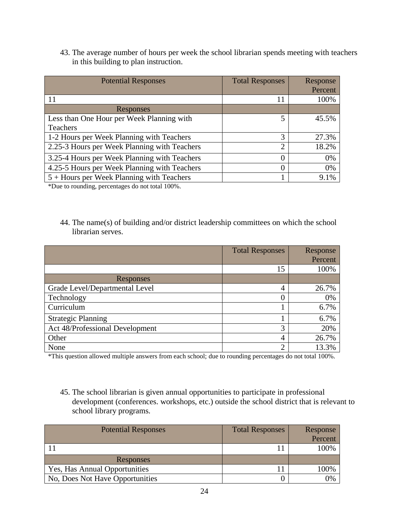43. The average number of hours per week the school librarian spends meeting with teachers in this building to plan instruction.

| <b>Potential Responses</b>                   | <b>Total Responses</b> | Response |
|----------------------------------------------|------------------------|----------|
|                                              |                        | Percent  |
| 11                                           | 11                     | 100%     |
| Responses                                    |                        |          |
| Less than One Hour per Week Planning with    | 5                      | 45.5%    |
| Teachers                                     |                        |          |
| 1-2 Hours per Week Planning with Teachers    | 3                      | 27.3%    |
| 2.25-3 Hours per Week Planning with Teachers | $\overline{2}$         | 18.2%    |
| 3.25-4 Hours per Week Planning with Teachers | 0                      | 0%       |
| 4.25-5 Hours per Week Planning with Teachers | $\Omega$               | 0%       |
| $5 +$ Hours per Week Planning with Teachers  |                        | 9.1%     |

\*Due to rounding, percentages do not total 100%.

44. The name(s) of building and/or district leadership committees on which the school librarian serves.

|                                 | <b>Total Responses</b> | Response |
|---------------------------------|------------------------|----------|
|                                 |                        | Percent  |
|                                 | 15                     | 100%     |
| Responses                       |                        |          |
| Grade Level/Departmental Level  | 4                      | 26.7%    |
| Technology                      | 0                      | 0%       |
| Curriculum                      |                        | 6.7%     |
| <b>Strategic Planning</b>       | 1                      | 6.7%     |
| Act 48/Professional Development | 3                      | 20%      |
| Other                           | 4                      | 26.7%    |
| None                            | $\overline{2}$         | 13.3%    |

\*This question allowed multiple answers from each school; due to rounding percentages do not total 100%.

45. The school librarian is given annual opportunities to participate in professional development (conferences. workshops, etc.) outside the school district that is relevant to school library programs.

| <b>Potential Responses</b>      | <b>Total Responses</b> | Response |
|---------------------------------|------------------------|----------|
|                                 |                        | Percent  |
|                                 |                        | 100%     |
| Responses                       |                        |          |
| Yes, Has Annual Opportunities   |                        | 100%     |
| No, Does Not Have Opportunities |                        | 0%       |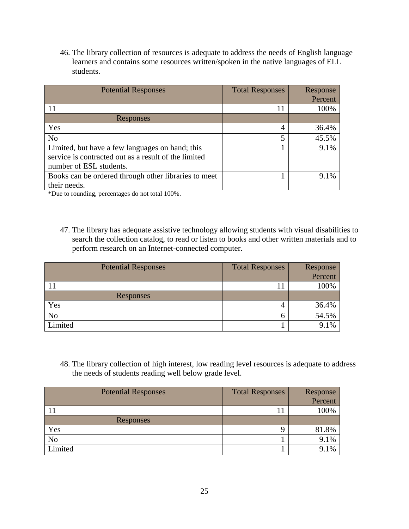46. The library collection of resources is adequate to address the needs of English language learners and contains some resources written/spoken in the native languages of ELL students.

| <b>Potential Responses</b>                           | <b>Total Responses</b> | Response |
|------------------------------------------------------|------------------------|----------|
|                                                      |                        | Percent  |
| 11                                                   | 11                     | 100%     |
| Responses                                            |                        |          |
| Yes                                                  | 4                      | 36.4%    |
| N <sub>o</sub>                                       | 5                      | 45.5%    |
| Limited, but have a few languages on hand; this      |                        | 9.1%     |
| service is contracted out as a result of the limited |                        |          |
| number of ESL students.                              |                        |          |
| Books can be ordered through other libraries to meet |                        | $9.1\%$  |
| their needs.                                         |                        |          |

\*Due to rounding, percentages do not total 100%.

47. The library has adequate assistive technology allowing students with visual disabilities to search the collection catalog, to read or listen to books and other written materials and to perform research on an Internet-connected computer.

| <b>Potential Responses</b> | <b>Total Responses</b> | Response |
|----------------------------|------------------------|----------|
|                            |                        | Percent  |
|                            |                        | 100%     |
| Responses                  |                        |          |
| Yes                        | 4                      | 36.4%    |
| N <sub>o</sub>             | n                      | 54.5%    |
| Limited                    |                        | 9.1%     |

48. The library collection of high interest, low reading level resources is adequate to address the needs of students reading well below grade level.

| <b>Potential Responses</b> | <b>Total Responses</b> | Response |
|----------------------------|------------------------|----------|
|                            |                        | Percent  |
|                            | 1 T                    | 100%     |
| Responses                  |                        |          |
| Yes                        | Q                      | 81.8%    |
| N <sub>o</sub>             |                        | 9.1%     |
| Limited                    |                        | 9.1%     |